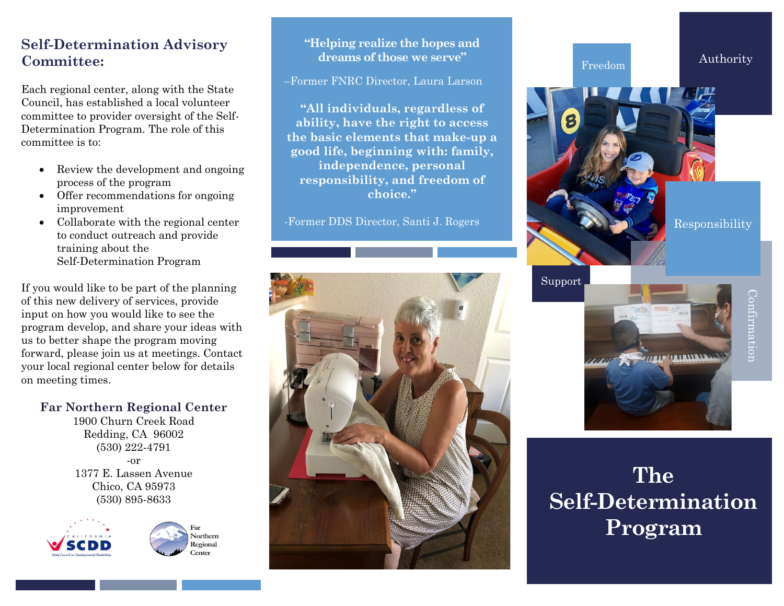#### **Self-Determination Advisory Committee:**

Each regional center, along with the State Council, has established a local volunteer committee to provider oversight of the Self-Determination Program. The role of this committee is to:

- Review the development and ongoing process of the program
- Offer recommendations for ongoing improvement
- Collaborate with the regional center to conduct outreach and provide training about the Self-Determination Program

If you would like to be part of the planning of this new delivery of services, provide input on how you would like to see the program develop, and share your ideas with us to better shape the program moving forward, please join us at meetings. Contact your local regional center below for details on meeting times.

**Far Northern Regional Center**

1900 Churn Creek Road Redding, CA 96002 (530) 222-4791 -or 1377 E. Lassen Avenue Chico, CA 95973 (530) 895-8633





#### **"Helping realize the hopes and dreams of those we serve"**

–Former FNRC Director, Laura Larson

**"All individuals, regardless of ability, have the right to access the basic elements that make-up a good life, beginning with: family, independence, personal responsibility, and freedom of choice."**

-Former DDS Director, Santi J. Rogers



Authority Responsibility Freedom

Support



# **The Self-Determination Program**